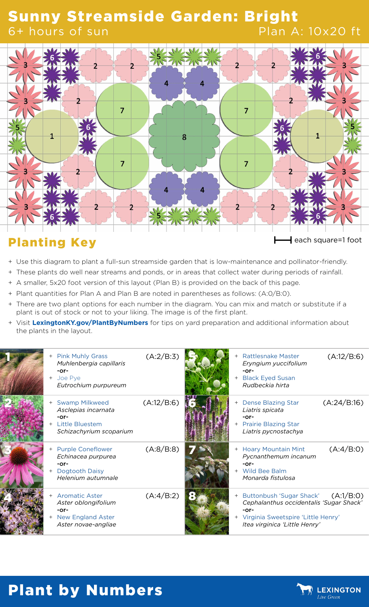#### Sunny Streamside Garden: Bright 6+ hours of sun Plan A: 10x20 ft



## Planting Key **Executes Planting Key each square=1 foot**

- + Use this diagram to plant a full-sun streamside garden that is low-maintenance and pollinator-friendly.
- + These plants do well near streams and ponds, or in areas that collect water during periods of rainfall.
- + A smaller, 5x20 foot version of this layout (Plan B) is provided on the back of this page.
- + Plant quantities for Plan A and Plan B are noted in parentheses as follows: (A:0/B:0).
- + There are two plant options for each number in the diagram. You can mix and match or substitute if a plant is out of stock or not to your liking. The image is of the first plant.
- + Visit **[LexingtonKY.gov/PlantByNumbers](http://LexingtonKY.gov/PlantByNumbers)** for tips on yard preparation and additional information about the plants in the layout.

| <b>Pink Muhly Grass</b><br>$^{+}$<br>Muhlenbergia capillaris<br>$-0r-$<br>Joe Pye<br>$+$<br>Eutrochium purpureum | (A:2/B:3)  |  | <b>Rattlesnake Master</b><br>Eryngium yuccifolium<br>$-0r-$<br><b>Black Eyed Susan</b><br>Rudbeckia hirta                                              | (A:12/B:6)  |
|------------------------------------------------------------------------------------------------------------------|------------|--|--------------------------------------------------------------------------------------------------------------------------------------------------------|-------------|
| <b>Swamp Milkweed</b><br>Asclepias incarnata<br>$-0r-$<br><b>Little Bluestem</b><br>Schizachyrium scoparium      | (A:12/B:6) |  | + Dense Blazing Star<br>Liatris spicata<br>-or-<br>+ Prairie Blazing Star<br>Liatris pycnostachya                                                      | (A:24/B:16) |
| <b>Purple Coneflower</b><br>Echinacea purpurea<br>$-0r-$<br>Dogtooth Daisy<br>Helenium autumnale                 | (A:8/B:8)  |  | + Hoary Mountain Mint<br>Pycnanthemum incanum<br>$-0r-$<br>Wild Bee Balm<br>Monarda fistulosa                                                          | (A:4/B:0)   |
| <b>Aromatic Aster</b><br>Aster oblongifolium<br>$-0r-$<br><b>New England Aster</b><br>Aster novae-angliae        | (A:4/B:2)  |  | + Buttonbush 'Sugar Shack'<br>Cephalanthus occidentalis 'Sugar Shack'<br>$-0r-$<br>Virginia Sweetspire 'Little Henry'<br>Itea virginica 'Little Henry' | (A:1/B:0)   |

# Plant by Numbers